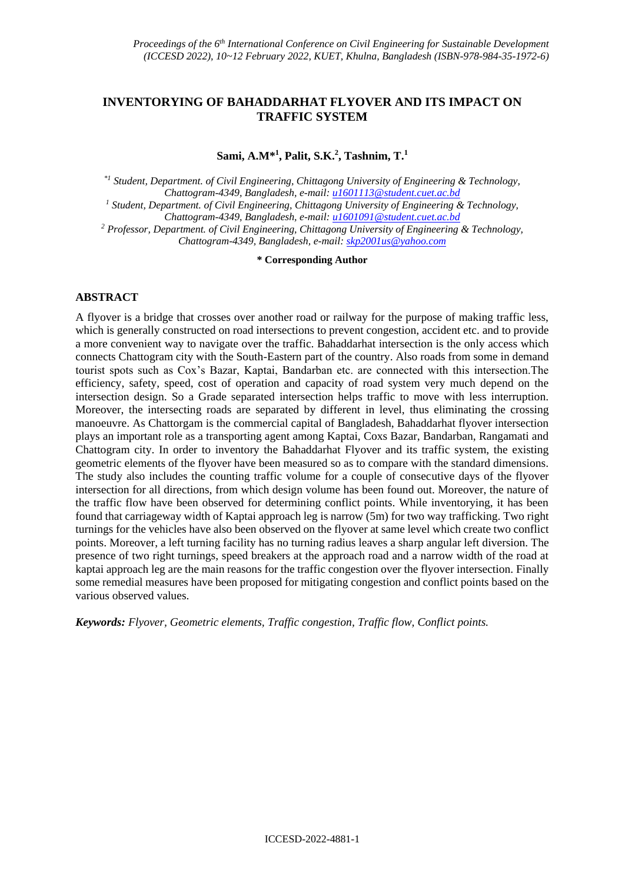# **INVENTORYING OF BAHADDARHAT FLYOVER AND ITS IMPACT ON TRAFFIC SYSTEM**

**Sami, A.M\*<sup>1</sup> , Palit, S.K.<sup>2</sup> , Tashnim, T.<sup>1</sup>**

*\*1 Student, Department. of Civil Engineering, Chittagong University of Engineering & Technology, Chattogram-4349, Bangladesh, e-mail: [u1601113@student.cuet.ac.bd](mailto:u1601113@student.cuet.ac.bd) <sup>1</sup> Student, Department. of Civil Engineering, Chittagong University of Engineering & Technology, Chattogram-4349, Bangladesh, e-mail: [u1601091@student.cuet.ac.bd](mailto:u1601091@student.cuet.ac.bd) <sup>2</sup> Professor, Department. of Civil Engineering, Chittagong University of Engineering & Technology, Chattogram-4349, Bangladesh, e-mail: [skp2001us@yahoo.com](mailto:skp2001us@yahoo.com)*

**\* Corresponding Author**

## **ABSTRACT**

A flyover is a bridge that crosses over another road or railway for the purpose of making traffic less, which is generally constructed on road intersections to prevent congestion, accident etc. and to provide a more convenient way to navigate over the traffic. Bahaddarhat intersection is the only access which connects Chattogram city with the South-Eastern part of the country. Also roads from some in demand tourist spots such as Cox's Bazar, Kaptai, Bandarban etc. are connected with this intersection.The efficiency, safety, speed, cost of operation and capacity of road system very much depend on the intersection design. So a Grade separated intersection helps traffic to move with less interruption. Moreover, the intersecting roads are separated by different in level, thus eliminating the crossing manoeuvre. As Chattorgam is the commercial capital of Bangladesh, Bahaddarhat flyover intersection plays an important role as a transporting agent among Kaptai, Coxs Bazar, Bandarban, Rangamati and Chattogram city. In order to inventory the Bahaddarhat Flyover and its traffic system, the existing geometric elements of the flyover have been measured so as to compare with the standard dimensions. The study also includes the counting traffic volume for a couple of consecutive days of the flyover intersection for all directions, from which design volume has been found out. Moreover, the nature of the traffic flow have been observed for determining conflict points. While inventorying, it has been found that carriageway width of Kaptai approach leg is narrow (5m) for two way trafficking. Two right turnings for the vehicles have also been observed on the flyover at same level which create two conflict points. Moreover, a left turning facility has no turning radius leaves a sharp angular left diversion. The presence of two right turnings, speed breakers at the approach road and a narrow width of the road at kaptai approach leg are the main reasons for the traffic congestion over the flyover intersection. Finally some remedial measures have been proposed for mitigating congestion and conflict points based on the various observed values.

*Keywords: Flyover, Geometric elements, Traffic congestion, Traffic flow, Conflict points.*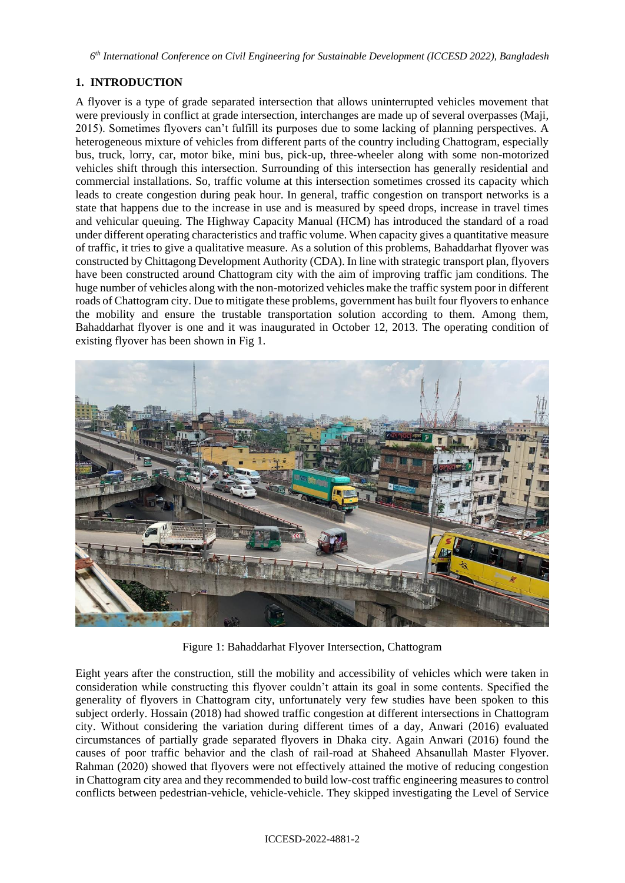*6 th International Conference on Civil Engineering for Sustainable Development (ICCESD 2022), Bangladesh*

# **1. INTRODUCTION**

A flyover is a type of grade separated intersection that allows uninterrupted vehicles movement that were previously in conflict at grade intersection, interchanges are made up of several overpasses (Maji, 2015). Sometimes flyovers can't fulfill its purposes due to some lacking of planning perspectives. A heterogeneous mixture of vehicles from different parts of the country including Chattogram, especially bus, truck, lorry, car, motor bike, mini bus, pick-up, three-wheeler along with some non-motorized vehicles shift through this intersection. Surrounding of this intersection has generally residential and commercial installations. So, traffic volume at this intersection sometimes crossed its capacity which leads to create congestion during peak hour. In general, traffic congestion on transport networks is a state that happens due to the increase in use and is measured by speed drops, increase in travel times and vehicular queuing. The Highway Capacity Manual (HCM) has introduced the standard of a road under different operating characteristics and traffic volume. When capacity gives a quantitative measure of traffic, it tries to give a qualitative measure. As a solution of this problems, Bahaddarhat flyover was constructed by Chittagong Development Authority (CDA). In line with strategic transport plan, flyovers have been constructed around Chattogram city with the aim of improving traffic jam conditions. The huge number of vehicles along with the non-motorized vehicles make the traffic system poor in different roads of Chattogram city. Due to mitigate these problems, government has built four flyovers to enhance the mobility and ensure the trustable transportation solution according to them. Among them, Bahaddarhat flyover is one and it was inaugurated in October 12, 2013. The operating condition of existing flyover has been shown in Fig 1.



Figure 1: Bahaddarhat Flyover Intersection, Chattogram

Eight years after the construction, still the mobility and accessibility of vehicles which were taken in consideration while constructing this flyover couldn't attain its goal in some contents. Specified the generality of flyovers in Chattogram city, unfortunately very few studies have been spoken to this subject orderly. Hossain (2018) had showed traffic congestion at different intersections in Chattogram city. Without considering the variation during different times of a day, Anwari (2016) evaluated circumstances of partially grade separated flyovers in Dhaka city. Again Anwari (2016) found the causes of poor traffic behavior and the clash of rail-road at Shaheed Ahsanullah Master Flyover. Rahman (2020) showed that flyovers were not effectively attained the motive of reducing congestion in Chattogram city area and they recommended to build low-cost traffic engineering measures to control conflicts between pedestrian-vehicle, vehicle-vehicle. They skipped investigating the Level of Service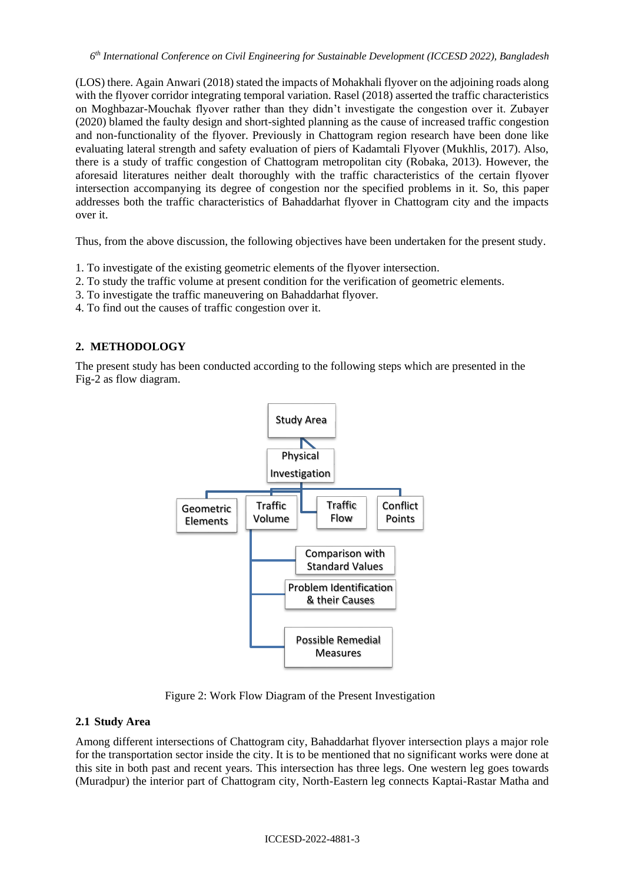(LOS) there. Again Anwari (2018) stated the impacts of Mohakhali flyover on the adjoining roads along with the flyover corridor integrating temporal variation. Rasel (2018) asserted the traffic characteristics on Moghbazar-Mouchak flyover rather than they didn't investigate the congestion over it. Zubayer (2020) blamed the faulty design and short-sighted planning as the cause of increased traffic congestion and non-functionality of the flyover. Previously in Chattogram region research have been done like evaluating lateral strength and safety evaluation of piers of Kadamtali Flyover (Mukhlis, 2017). Also, there is a study of traffic congestion of Chattogram metropolitan city (Robaka, 2013). However, the aforesaid literatures neither dealt thoroughly with the traffic characteristics of the certain flyover intersection accompanying its degree of congestion nor the specified problems in it. So, this paper addresses both the traffic characteristics of Bahaddarhat flyover in Chattogram city and the impacts over it.

Thus, from the above discussion, the following objectives have been undertaken for the present study.

- 1. To investigate of the existing geometric elements of the flyover intersection.
- 2. To study the traffic volume at present condition for the verification of geometric elements.
- 3. To investigate the traffic maneuvering on Bahaddarhat flyover.
- 4. To find out the causes of traffic congestion over it.

# **2. METHODOLOGY**

The present study has been conducted according to the following steps which are presented in the Fig-2 as flow diagram.



Figure 2: Work Flow Diagram of the Present Investigation

### **2.1 Study Area**

Among different intersections of Chattogram city, Bahaddarhat flyover intersection plays a major role for the transportation sector inside the city. It is to be mentioned that no significant works were done at this site in both past and recent years. This intersection has three legs. One western leg goes towards (Muradpur) the interior part of Chattogram city, North-Eastern leg connects Kaptai-Rastar Matha and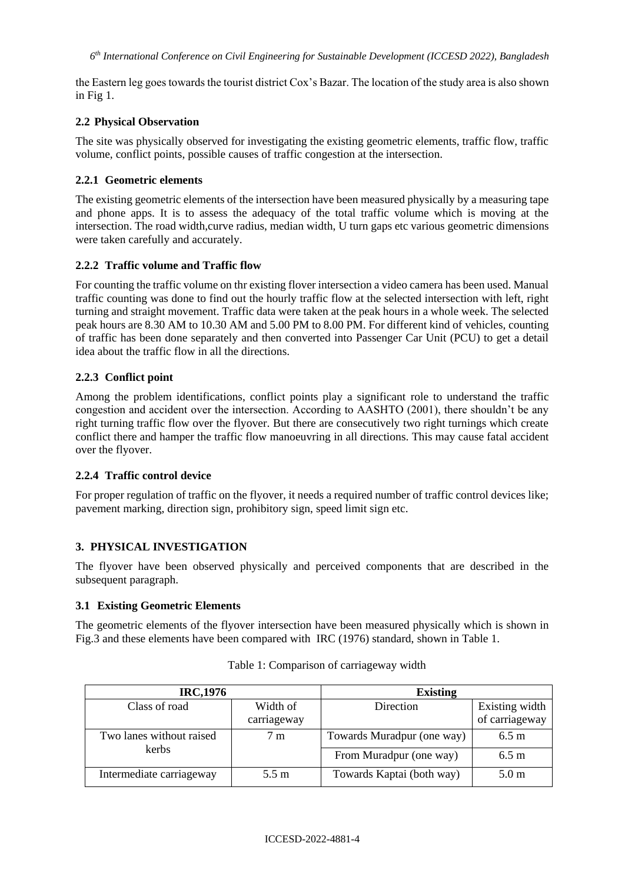the Eastern leg goes towards the tourist district Cox's Bazar. The location of the study area is also shown in Fig 1.

## **2.2 Physical Observation**

The site was physically observed for investigating the existing geometric elements, traffic flow, traffic volume, conflict points, possible causes of traffic congestion at the intersection.

### **2.2.1 Geometric elements**

The existing geometric elements of the intersection have been measured physically by a measuring tape and phone apps. It is to assess the adequacy of the total traffic volume which is moving at the intersection. The road width,curve radius, median width, U turn gaps etc various geometric dimensions were taken carefully and accurately.

## **2.2.2 Traffic volume and Traffic flow**

For counting the traffic volume on thr existing flover intersection a video camera has been used. Manual traffic counting was done to find out the hourly traffic flow at the selected intersection with left, right turning and straight movement. Traffic data were taken at the peak hours in a whole week. The selected peak hours are 8.30 AM to 10.30 AM and 5.00 PM to 8.00 PM. For different kind of vehicles, counting of traffic has been done separately and then converted into Passenger Car Unit (PCU) to get a detail idea about the traffic flow in all the directions.

## **2.2.3 Conflict point**

Among the problem identifications, conflict points play a significant role to understand the traffic congestion and accident over the intersection. According to AASHTO (2001), there shouldn't be any right turning traffic flow over the flyover. But there are consecutively two right turnings which create conflict there and hamper the traffic flow manoeuvring in all directions. This may cause fatal accident over the flyover.

### **2.2.4 Traffic control device**

For proper regulation of traffic on the flyover, it needs a required number of traffic control devices like; pavement marking, direction sign, prohibitory sign, speed limit sign etc.

# **3. PHYSICAL INVESTIGATION**

The flyover have been observed physically and perceived components that are described in the subsequent paragraph.

### **3.1 Existing Geometric Elements**

The geometric elements of the flyover intersection have been measured physically which is shown in Fig.3 and these elements have been compared with IRC (1976) standard, shown in Table 1.

| <b>IRC,1976</b>          |                         | <b>Existing</b>            |                                  |  |
|--------------------------|-------------------------|----------------------------|----------------------------------|--|
| Class of road            | Width of<br>carriageway | <b>Direction</b>           | Existing width<br>of carriageway |  |
| Two lanes without raised | 7 m                     | Towards Muradpur (one way) | $6.5 \text{ m}$                  |  |
| kerbs                    |                         | From Muradpur (one way)    | $6.5 \text{ m}$                  |  |
| Intermediate carriageway | $5.5 \text{ m}$         | Towards Kaptai (both way)  | 5.0 <sub>m</sub>                 |  |

Table 1: Comparison of carriageway width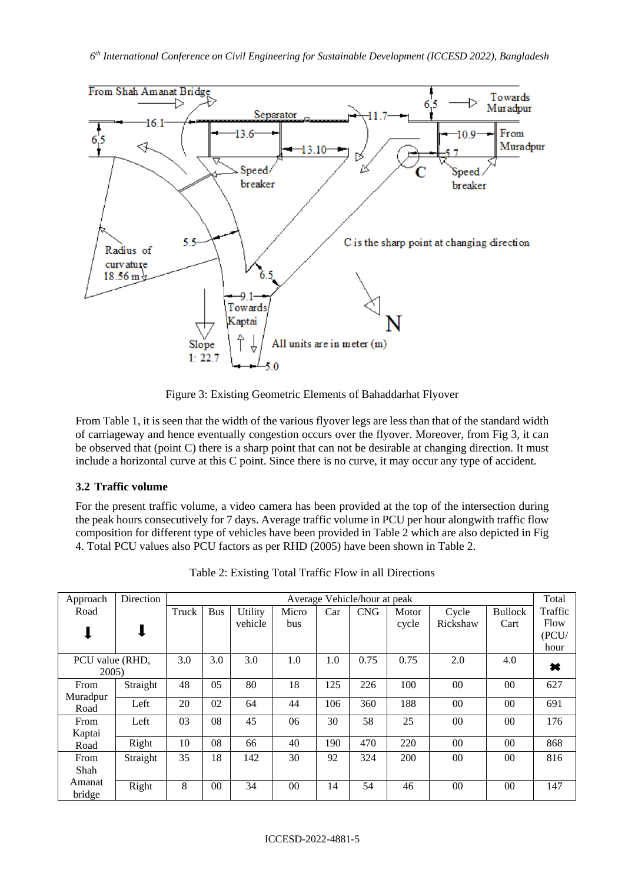

Figure 3: Existing Geometric Elements of Bahaddarhat Flyover

From Table 1, it is seen that the width of the various flyover legs are less than that of the standard width of carriageway and hence eventually congestion occurs over the flyover. Moreover, from Fig 3, it can be observed that (point C) there is a sharp point that can not be desirable at changing direction. It must include a horizontal curve at this C point. Since there is no curve, it may occur any type of accident.

# **3.2 Traffic volume**

For the present traffic volume, a video camera has been provided at the top of the intersection during the peak hours consecutively for 7 days. Average traffic volume in PCU per hour alongwith traffic flow composition for different type of vehicles have been provided in Table 2 which are also depicted in Fig 4. Total PCU values also PCU factors as per RHD (2005) have been shown in Table 2.

| Approach        | Direction | Average Vehicle/hour at peak |            |         |       |     | Total      |       |          |                |         |
|-----------------|-----------|------------------------------|------------|---------|-------|-----|------------|-------|----------|----------------|---------|
| Road            |           | Truck                        | <b>Bus</b> | Utility | Micro | Car | <b>CNG</b> | Motor | Cycle    | <b>Bullock</b> | Traffic |
|                 |           |                              |            | vehicle | bus   |     |            | cycle | Rickshaw | Cart           | Flow    |
|                 |           |                              |            |         |       |     |            |       |          |                | (PCU)   |
|                 |           |                              |            |         |       |     |            |       |          |                | hour    |
| PCU value (RHD, |           | 3.0                          | 3.0        | 3.0     | 1.0   | 1.0 | 0.75       | 0.75  | 2.0      | 4.0            | ×       |
| 2005            |           |                              |            |         |       |     |            |       |          |                |         |
| From            | Straight  | 48                           | 05         | 80      | 18    | 125 | 226        | 100   | $00\,$   | 00             | 627     |
| Muradpur        | Left      | 20                           | 02         | 64      | 44    | 106 | 360        | 188   | $00\,$   | 00             | 691     |
| Road            |           |                              |            |         |       |     |            |       |          |                |         |
| From            | Left      | 03                           | 08         | 45      | 06    | 30  | 58         | 25    | $00\,$   | 00             | 176     |
| Kaptai          |           |                              |            |         |       |     |            |       |          |                |         |
| Road            | Right     | 10                           | 08         | 66      | 40    | 190 | 470        | 220   | $00\,$   | 00             | 868     |
| From            | Straight  | 35                           | 18         | 142     | 30    | 92  | 324        | 200   | $00\,$   | 00             | 816     |
| Shah            |           |                              |            |         |       |     |            |       |          |                |         |
| Amanat          | Right     | 8                            | 00         | 34      | 00    | 14  | 54         | 46    | $00\,$   | 00             | 147     |
| bridge          |           |                              |            |         |       |     |            |       |          |                |         |

Table 2: Existing Total Traffic Flow in all Directions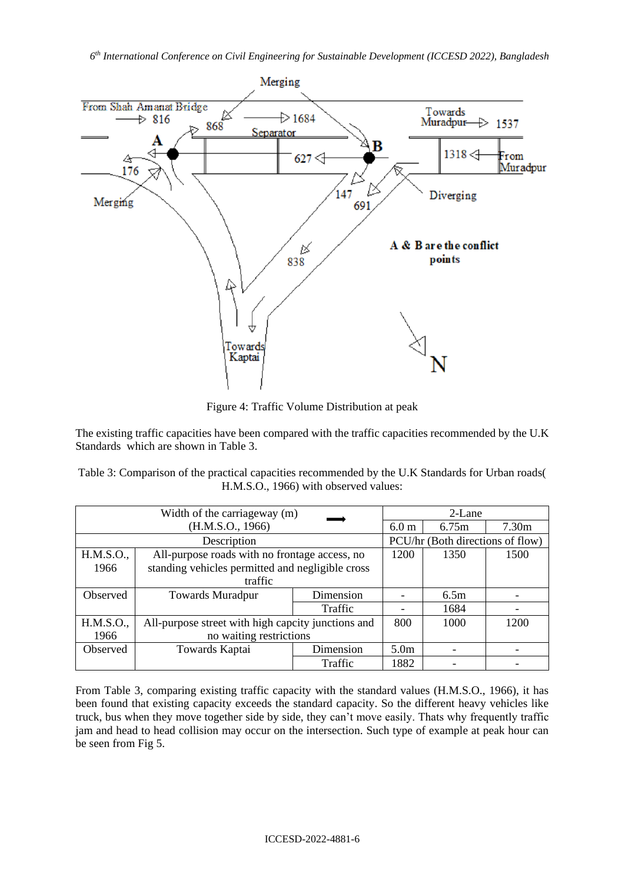

Figure 4: Traffic Volume Distribution at peak

The existing traffic capacities have been compared with the traffic capacities recommended by the U.K Standards which are shown in Table 3.

Table 3: Comparison of the practical capacities recommended by the U.K Standards for Urban roads( H.M.S.O., 1966) with observed values:

|                 | Width of the carriageway (m)                       | 2-Lane                           |                  |                   |  |
|-----------------|----------------------------------------------------|----------------------------------|------------------|-------------------|--|
|                 | (H.M.S.O., 1966)                                   | 6.0 <sub>m</sub>                 | 6.75m            | 7.30 <sub>m</sub> |  |
|                 | Description                                        | PCU/hr (Both directions of flow) |                  |                   |  |
| H.M.S.O.,       | All-purpose roads with no frontage access, no      | 1200                             | 1350             | 1500              |  |
| 1966            | standing vehicles permitted and negligible cross   |                                  |                  |                   |  |
|                 | traffic                                            |                                  |                  |                   |  |
| Observed        | <b>Towards Muradpur</b>                            | Dimension                        |                  | 6.5m              |  |
|                 |                                                    | Traffic                          |                  | 1684              |  |
| H.M.S.O.,       | All-purpose street with high capcity junctions and | 800                              | 1000             | 1200              |  |
| 1966            | no waiting restrictions                            |                                  |                  |                   |  |
| <b>Observed</b> | Towards Kaptai                                     | Dimension                        | 5.0 <sub>m</sub> |                   |  |
|                 |                                                    | Traffic                          | 1882             |                   |  |

From Table 3, comparing existing traffic capacity with the standard values (H.M.S.O., 1966), it has been found that existing capacity exceeds the standard capacity. So the different heavy vehicles like truck, bus when they move together side by side, they can't move easily. Thats why frequently traffic jam and head to head collision may occur on the intersection. Such type of example at peak hour can be seen from Fig 5.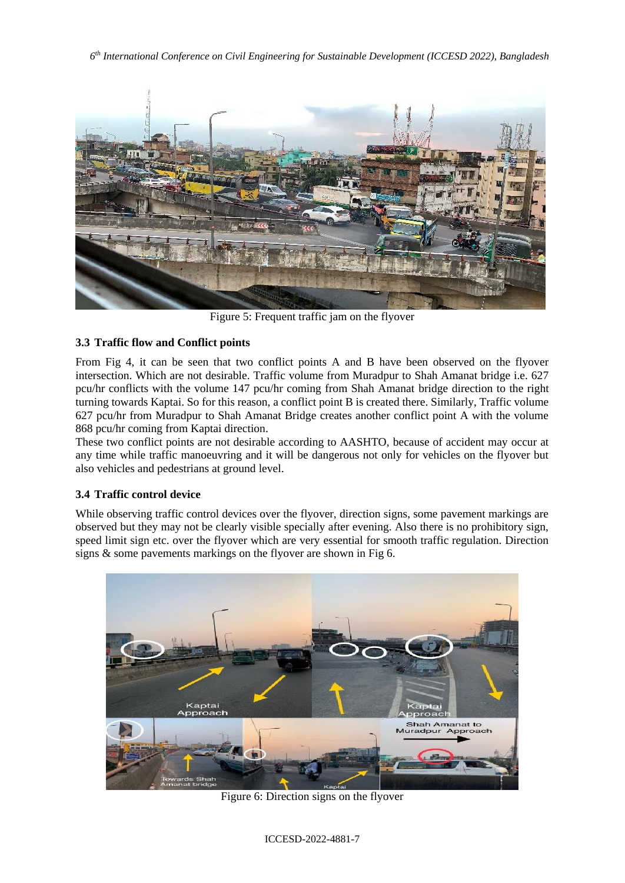*6 th International Conference on Civil Engineering for Sustainable Development (ICCESD 2022), Bangladesh*



Figure 5: Frequent traffic jam on the flyover

# **3.3 Traffic flow and Conflict points**

From Fig 4, it can be seen that two conflict points A and B have been observed on the flyover intersection. Which are not desirable. Traffic volume from Muradpur to Shah Amanat bridge i.e. 627 pcu/hr conflicts with the volume 147 pcu/hr coming from Shah Amanat bridge direction to the right turning towards Kaptai. So for this reason, a conflict point B is created there. Similarly, Traffic volume 627 pcu/hr from Muradpur to Shah Amanat Bridge creates another conflict point A with the volume 868 pcu/hr coming from Kaptai direction.

These two conflict points are not desirable according to AASHTO, because of accident may occur at any time while traffic manoeuvring and it will be dangerous not only for vehicles on the flyover but also vehicles and pedestrians at ground level.

# **3.4 Traffic control device**

While observing traffic control devices over the flyover, direction signs, some pavement markings are observed but they may not be clearly visible specially after evening. Also there is no prohibitory sign, speed limit sign etc. over the flyover which are very essential for smooth traffic regulation. Direction signs & some pavements markings on the flyover are shown in Fig 6.



Figure 6: Direction signs on the flyover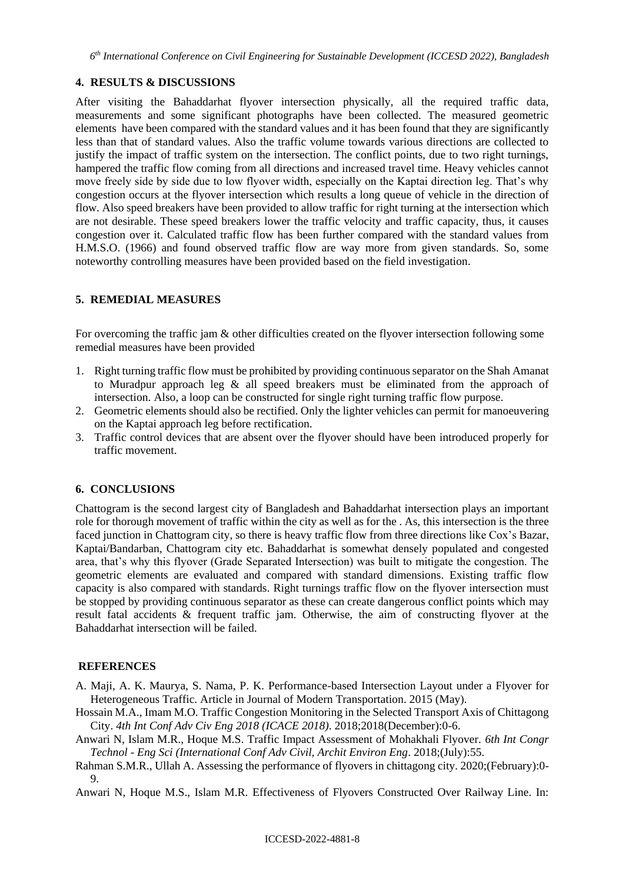### **4. RESULTS & DISCUSSIONS**

After visiting the Bahaddarhat flyover intersection physically, all the required traffic data, measurements and some significant photographs have been collected. The measured geometric elements have been compared with the standard values and it has been found that they are significantly less than that of standard values. Also the traffic volume towards various directions are collected to justify the impact of traffic system on the intersection. The conflict points, due to two right turnings, hampered the traffic flow coming from all directions and increased travel time. Heavy vehicles cannot move freely side by side due to low flyover width, especially on the Kaptai direction leg. That's why congestion occurs at the flyover intersection which results a long queue of vehicle in the direction of flow. Also speed breakers have been provided to allow traffic for right turning at the intersection which are not desirable. These speed breakers lower the traffic velocity and traffic capacity, thus, it causes congestion over it. Calculated traffic flow has been further compared with the standard values from H.M.S.O. (1966) and found observed traffic flow are way more from given standards. So, some noteworthy controlling measures have been provided based on the field investigation.

## **5. REMEDIAL MEASURES**

For overcoming the traffic jam & other difficulties created on the flyover intersection following some remedial measures have been provided

- 1. Right turning traffic flow must be prohibited by providing continuous separator on the Shah Amanat to Muradpur approach leg & all speed breakers must be eliminated from the approach of intersection. Also, a loop can be constructed for single right turning traffic flow purpose.
- 2. Geometric elements should also be rectified. Only the lighter vehicles can permit for manoeuvering on the Kaptai approach leg before rectification.
- 3. Traffic control devices that are absent over the flyover should have been introduced properly for traffic movement.

### **6. CONCLUSIONS**

Chattogram is the second largest city of Bangladesh and Bahaddarhat intersection plays an important role for thorough movement of traffic within the city as well as for the . As, this intersection is the three faced junction in Chattogram city, so there is heavy traffic flow from three directions like Cox's Bazar, Kaptai/Bandarban, Chattogram city etc. Bahaddarhat is somewhat densely populated and congested area, that's why this flyover (Grade Separated Intersection) was built to mitigate the congestion. The geometric elements are evaluated and compared with standard dimensions. Existing traffic flow capacity is also compared with standards. Right turnings traffic flow on the flyover intersection must be stopped by providing continuous separator as these can create dangerous conflict points which may result fatal accidents & frequent traffic jam. Otherwise, the aim of constructing flyover at the Bahaddarhat intersection will be failed.

#### **REFERENCES**

- A. Maji, A. K. Maurya, S. Nama, P. K. Performance-based Intersection Layout under a Flyover for Heterogeneous Traffic. Article in Journal of Modern Transportation. 2015 (May).
- Hossain M.A., Imam M.O. Traffic Congestion Monitoring in the Selected Transport Axis of Chittagong City. *4th Int Conf Adv Civ Eng 2018 (ICACE 2018)*. 2018;2018(December):0-6.
- Anwari N, Islam M.R., Hoque M.S. Traffic Impact Assessment of Mohakhali Flyover. *6th Int Congr Technol - Eng Sci (International Conf Adv Civil, Archit Environ Eng*. 2018;(July):55.
- Rahman S.M.R., Ullah A. Assessing the performance of flyovers in chittagong city. 2020;(February):0- 9.

Anwari N, Hoque M.S., Islam M.R. Effectiveness of Flyovers Constructed Over Railway Line. In: